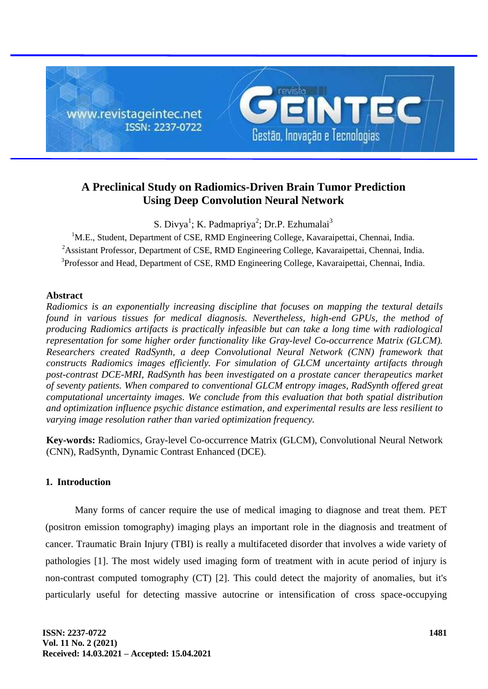

# **A Preclinical Study on Radiomics-Driven Brain Tumor Prediction Using Deep Convolution Neural Network**

S. Divya<sup>1</sup>; K. Padmapriya<sup>2</sup>; Dr.P. Ezhumalai<sup>3</sup>

<sup>1</sup>M.E., Student, Department of CSE, RMD Engineering College, Kavaraipettai, Chennai, India. <sup>2</sup> Assistant Professor, Department of CSE, RMD Engineering College, Kavaraipettai, Chennai, India. <sup>3</sup>Professor and Head, Department of CSE, RMD Engineering College, Kavaraipettai, Chennai, India.

## **Abstract**

*Radiomics is an exponentially increasing discipline that focuses on mapping the textural details found in various tissues for medical diagnosis. Nevertheless, high-end GPUs, the method of producing Radiomics artifacts is practically infeasible but can take a long time with radiological representation for some higher order functionality like Gray-level Co-occurrence Matrix (GLCM). Researchers created RadSynth, a deep Convolutional Neural Network (CNN) framework that constructs Radiomics images efficiently. For simulation of GLCM uncertainty artifacts through post-contrast DCE-MRI, RadSynth has been investigated on a prostate cancer therapeutics market of seventy patients. When compared to conventional GLCM entropy images, RadSynth offered great computational uncertainty images. We conclude from this evaluation that both spatial distribution and optimization influence psychic distance estimation, and experimental results are less resilient to varying image resolution rather than varied optimization frequency.*

**Key-words:** Radiomics, Gray-level Co-occurrence Matrix (GLCM), Convolutional Neural Network (CNN), RadSynth, Dynamic Contrast Enhanced (DCE).

# **1. Introduction**

Many forms of cancer require the use of medical imaging to diagnose and treat them. PET (positron emission tomography) imaging plays an important role in the diagnosis and treatment of cancer. Traumatic Brain Injury (TBI) is really a multifaceted disorder that involves a wide variety of pathologies [1]. The most widely used imaging form of treatment with in acute period of injury is non-contrast computed tomography (CT) [2]. This could detect the majority of anomalies, but it's particularly useful for detecting massive autocrine or intensification of cross space-occupying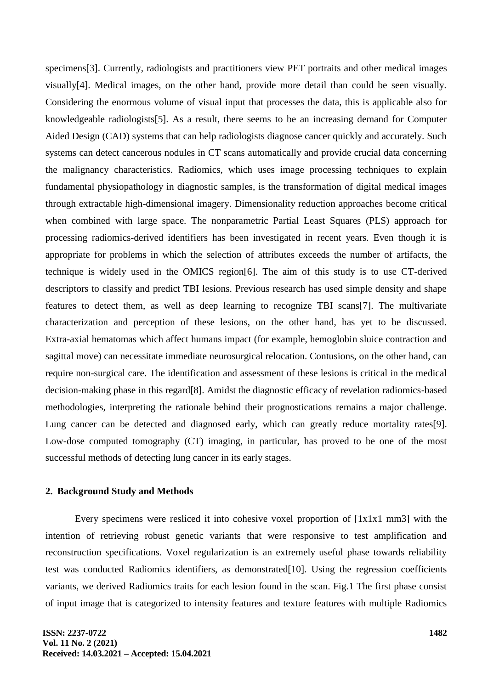specimens[3]. Currently, radiologists and practitioners view PET portraits and other medical images visually[4]. Medical images, on the other hand, provide more detail than could be seen visually. Considering the enormous volume of visual input that processes the data, this is applicable also for knowledgeable radiologists[5]. As a result, there seems to be an increasing demand for Computer Aided Design (CAD) systems that can help radiologists diagnose cancer quickly and accurately. Such systems can detect cancerous nodules in CT scans automatically and provide crucial data concerning the malignancy characteristics. Radiomics, which uses image processing techniques to explain fundamental physiopathology in diagnostic samples, is the transformation of digital medical images through extractable high-dimensional imagery. Dimensionality reduction approaches become critical when combined with large space. The nonparametric Partial Least Squares (PLS) approach for processing radiomics-derived identifiers has been investigated in recent years. Even though it is appropriate for problems in which the selection of attributes exceeds the number of artifacts, the technique is widely used in the OMICS region[6]. The aim of this study is to use CT-derived descriptors to classify and predict TBI lesions. Previous research has used simple density and shape features to detect them, as well as deep learning to recognize TBI scans[7]. The multivariate characterization and perception of these lesions, on the other hand, has yet to be discussed. Extra-axial hematomas which affect humans impact (for example, hemoglobin sluice contraction and sagittal move) can necessitate immediate neurosurgical relocation. Contusions, on the other hand, can require non-surgical care. The identification and assessment of these lesions is critical in the medical decision-making phase in this regard[8]. Amidst the diagnostic efficacy of revelation radiomics-based methodologies, interpreting the rationale behind their prognostications remains a major challenge. Lung cancer can be detected and diagnosed early, which can greatly reduce mortality rates[9]. Low-dose computed tomography (CT) imaging, in particular, has proved to be one of the most successful methods of detecting lung cancer in its early stages.

#### **2. Background Study and Methods**

Every specimens were resliced it into cohesive voxel proportion of  $[1x1x1 mm3]$  with the intention of retrieving robust genetic variants that were responsive to test amplification and reconstruction specifications. Voxel regularization is an extremely useful phase towards reliability test was conducted Radiomics identifiers, as demonstrated[10]. Using the regression coefficients variants, we derived Radiomics traits for each lesion found in the scan. Fig.1 The first phase consist of input image that is categorized to intensity features and texture features with multiple Radiomics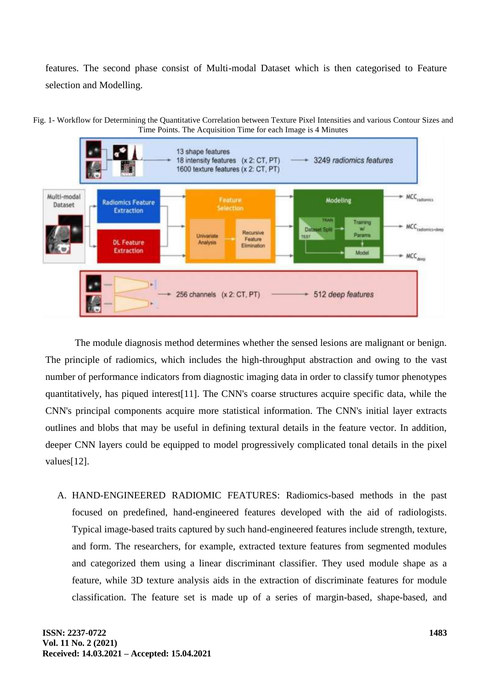features. The second phase consist of Multi-modal Dataset which is then categorised to Feature selection and Modelling.



Fig. 1- Workflow for Determining the Quantitative Correlation between Texture Pixel Intensities and various Contour Sizes and Time Points. The Acquisition Time for each Image is 4 Minutes

The module diagnosis method determines whether the sensed lesions are malignant or benign. The principle of radiomics, which includes the high-throughput abstraction and owing to the vast number of performance indicators from diagnostic imaging data in order to classify tumor phenotypes quantitatively, has piqued interest[11]. The CNN's coarse structures acquire specific data, while the CNN's principal components acquire more statistical information. The CNN's initial layer extracts outlines and blobs that may be useful in defining textural details in the feature vector. In addition, deeper CNN layers could be equipped to model progressively complicated tonal details in the pixel values[12].

A. HAND-ENGINEERED RADIOMIC FEATURES: Radiomics-based methods in the past focused on predefined, hand-engineered features developed with the aid of radiologists. Typical image-based traits captured by such hand-engineered features include strength, texture, and form. The researchers, for example, extracted texture features from segmented modules and categorized them using a linear discriminant classifier. They used module shape as a feature, while 3D texture analysis aids in the extraction of discriminate features for module classification. The feature set is made up of a series of margin-based, shape-based, and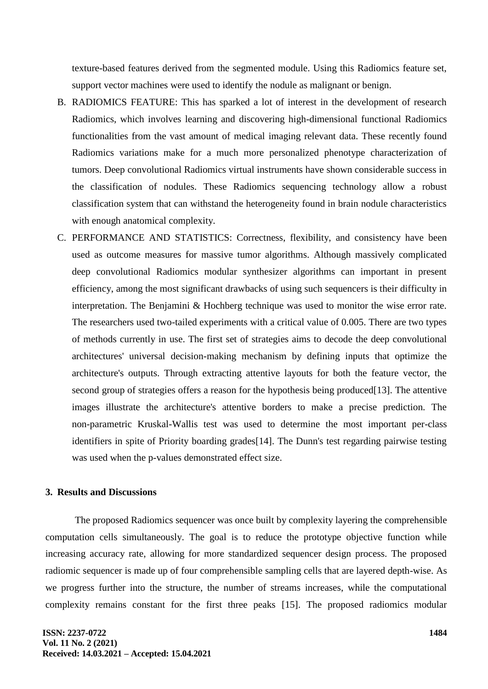texture-based features derived from the segmented module. Using this Radiomics feature set, support vector machines were used to identify the nodule as malignant or benign.

- B. RADIOMICS FEATURE: This has sparked a lot of interest in the development of research Radiomics, which involves learning and discovering high-dimensional functional Radiomics functionalities from the vast amount of medical imaging relevant data. These recently found Radiomics variations make for a much more personalized phenotype characterization of tumors. Deep convolutional Radiomics virtual instruments have shown considerable success in the classification of nodules. These Radiomics sequencing technology allow a robust classification system that can withstand the heterogeneity found in brain nodule characteristics with enough anatomical complexity.
- C. PERFORMANCE AND STATISTICS: Correctness, flexibility, and consistency have been used as outcome measures for massive tumor algorithms. Although massively complicated deep convolutional Radiomics modular synthesizer algorithms can important in present efficiency, among the most significant drawbacks of using such sequencers is their difficulty in interpretation. The Benjamini & Hochberg technique was used to monitor the wise error rate. The researchers used two-tailed experiments with a critical value of 0.005. There are two types of methods currently in use. The first set of strategies aims to decode the deep convolutional architectures' universal decision-making mechanism by defining inputs that optimize the architecture's outputs. Through extracting attentive layouts for both the feature vector, the second group of strategies offers a reason for the hypothesis being produced [13]. The attentive images illustrate the architecture's attentive borders to make a precise prediction. The non-parametric Kruskal-Wallis test was used to determine the most important per-class identifiers in spite of Priority boarding grades[14]. The Dunn's test regarding pairwise testing was used when the p-values demonstrated effect size.

#### **3. Results and Discussions**

The proposed Radiomics sequencer was once built by complexity layering the comprehensible computation cells simultaneously. The goal is to reduce the prototype objective function while increasing accuracy rate, allowing for more standardized sequencer design process. The proposed radiomic sequencer is made up of four comprehensible sampling cells that are layered depth-wise. As we progress further into the structure, the number of streams increases, while the computational complexity remains constant for the first three peaks [15]. The proposed radiomics modular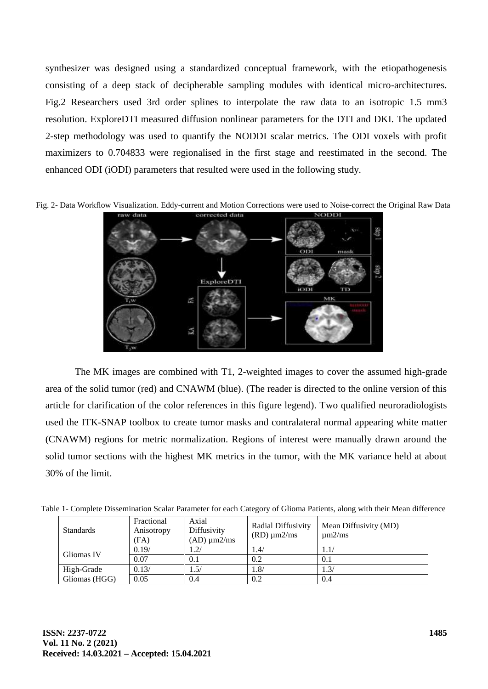synthesizer was designed using a standardized conceptual framework, with the etiopathogenesis consisting of a deep stack of decipherable sampling modules with identical micro-architectures. Fig.2 Researchers used 3rd order splines to interpolate the raw data to an isotropic 1.5 mm3 resolution. ExploreDTI measured diffusion nonlinear parameters for the DTI and DKI. The updated 2-step methodology was used to quantify the NODDI scalar metrics. The ODI voxels with profit maximizers to 0.704833 were regionalised in the first stage and reestimated in the second. The enhanced ODI (iODI) parameters that resulted were used in the following study.

Fig. 2- Data Workflow Visualization. Eddy-current and Motion Corrections were used to Noise-correct the Original Raw Data



The MK images are combined with T1, 2-weighted images to cover the assumed high-grade area of the solid tumor (red) and CNAWM (blue). (The reader is directed to the online version of this article for clarification of the color references in this figure legend). Two qualified neuroradiologists used the ITK-SNAP toolbox to create tumor masks and contralateral normal appearing white matter (CNAWM) regions for metric normalization. Regions of interest were manually drawn around the solid tumor sections with the highest MK metrics in the tumor, with the MK variance held at about 30% of the limit.

| <b>Standards</b> | Fractional<br>Anisotropy<br>(FA) | Axial<br>Diffusivity<br>$(AD) \mu m2/ms$ | Radial Diffusivity<br>$(RD) \mu m2/ms$ | Mean Diffusivity (MD)<br>$\mu$ m2/ms |
|------------------|----------------------------------|------------------------------------------|----------------------------------------|--------------------------------------|
| Gliomas IV       | 0.19/                            | 1.2/                                     | 1.4/                                   |                                      |
|                  | 0.07                             | 0.1                                      | 0.2                                    | 0.1                                  |
| High-Grade       | 0.13/                            | 1.5/                                     | 1.8/                                   | 1.3/                                 |
| Gliomas (HGG)    | 0.05                             | 0.4                                      | 0.2                                    | 0.4                                  |

Table 1- Complete Dissemination Scalar Parameter for each Category of Glioma Patients, along with their Mean difference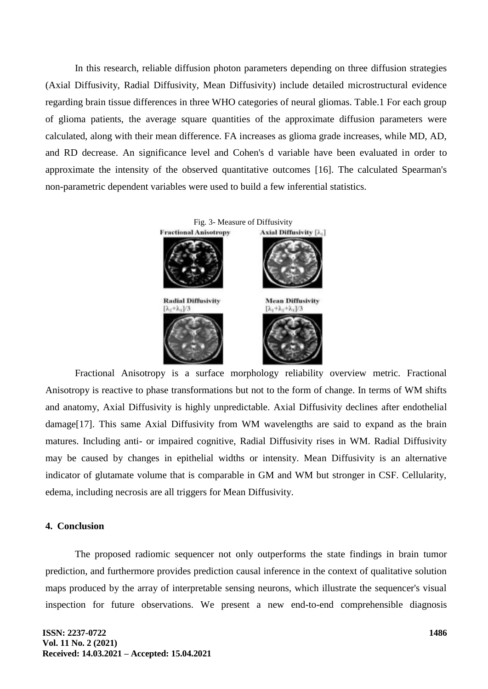In this research, reliable diffusion photon parameters depending on three diffusion strategies (Axial Diffusivity, Radial Diffusivity, Mean Diffusivity) include detailed microstructural evidence regarding brain tissue differences in three WHO categories of neural gliomas. Table.1 For each group of glioma patients, the average square quantities of the approximate diffusion parameters were calculated, along with their mean difference. FA increases as glioma grade increases, while MD, AD, and RD decrease. An significance level and Cohen's d variable have been evaluated in order to approximate the intensity of the observed quantitative outcomes [16]. The calculated Spearman's non-parametric dependent variables were used to build a few inferential statistics.



Fractional Anisotropy is a surface morphology reliability overview metric. Fractional Anisotropy is reactive to phase transformations but not to the form of change. In terms of WM shifts and anatomy, Axial Diffusivity is highly unpredictable. Axial Diffusivity declines after endothelial damage[17]. This same Axial Diffusivity from WM wavelengths are said to expand as the brain matures. Including anti- or impaired cognitive, Radial Diffusivity rises in WM. Radial Diffusivity may be caused by changes in epithelial widths or intensity. Mean Diffusivity is an alternative indicator of glutamate volume that is comparable in GM and WM but stronger in CSF. Cellularity, edema, including necrosis are all triggers for Mean Diffusivity.

### **4. Conclusion**

The proposed radiomic sequencer not only outperforms the state findings in brain tumor prediction, and furthermore provides prediction causal inference in the context of qualitative solution maps produced by the array of interpretable sensing neurons, which illustrate the sequencer's visual inspection for future observations. We present a new end-to-end comprehensible diagnosis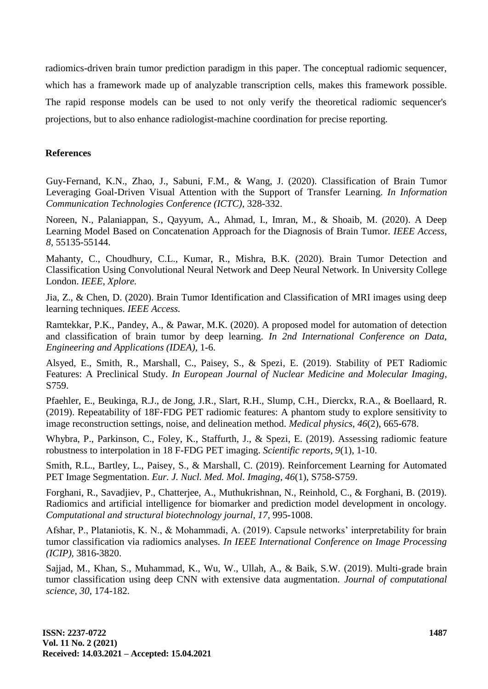radiomics-driven brain tumor prediction paradigm in this paper. The conceptual radiomic sequencer, which has a framework made up of analyzable transcription cells, makes this framework possible. The rapid response models can be used to not only verify the theoretical radiomic sequencer's projections, but to also enhance radiologist-machine coordination for precise reporting.

## **References**

Guy-Fernand, K.N., Zhao, J., Sabuni, F.M., & Wang, J. (2020). Classification of Brain Tumor Leveraging Goal-Driven Visual Attention with the Support of Transfer Learning. *In Information Communication Technologies Conference (ICTC),* 328-332.

Noreen, N., Palaniappan, S., Qayyum, A., Ahmad, I., Imran, M., & Shoaib, M. (2020). A Deep Learning Model Based on Concatenation Approach for the Diagnosis of Brain Tumor. *IEEE Access, 8,* 55135-55144.

Mahanty, C., Choudhury, C.L., Kumar, R., Mishra, B.K. (2020). Brain Tumor Detection and Classification Using Convolutional Neural Network and Deep Neural Network. In University College London. *IEEE, Xplore.*

Jia, Z., & Chen, D. (2020). Brain Tumor Identification and Classification of MRI images using deep learning techniques. *IEEE Access.*

Ramtekkar, P.K., Pandey, A., & Pawar, M.K. (2020). A proposed model for automation of detection and classification of brain tumor by deep learning. *In 2nd International Conference on Data, Engineering and Applications (IDEA),* 1-6.

Alsyed, E., Smith, R., Marshall, C., Paisey, S., & Spezi, E. (2019). Stability of PET Radiomic Features: A Preclinical Study. *In European Journal of Nuclear Medicine and Molecular Imaging*, S759.

Pfaehler, E., Beukinga, R.J., de Jong, J.R., Slart, R.H., Slump, C.H., Dierckx, R.A., & Boellaard, R. (2019). Repeatability of 18F‐FDG PET radiomic features: A phantom study to explore sensitivity to image reconstruction settings, noise, and delineation method. *Medical physics, 46*(2), 665-678.

Whybra, P., Parkinson, C., Foley, K., Staffurth, J., & Spezi, E. (2019). Assessing radiomic feature robustness to interpolation in 18 F-FDG PET imaging. *Scientific reports, 9*(1), 1-10.

Smith, R.L., Bartley, L., Paisey, S., & Marshall, C. (2019). Reinforcement Learning for Automated PET Image Segmentation. *Eur. J. Nucl. Med. Mol. Imaging, 46*(1), S758-S759.

Forghani, R., Savadjiev, P., Chatterjee, A., Muthukrishnan, N., Reinhold, C., & Forghani, B. (2019). Radiomics and artificial intelligence for biomarker and prediction model development in oncology. *Computational and structural biotechnology journal, 17,* 995-1008.

Afshar, P., Plataniotis, K. N., & Mohammadi, A. (2019). Capsule networks' interpretability for brain tumor classification via radiomics analyses. *In IEEE International Conference on Image Processing (ICIP),* 3816-3820.

Sajjad, M., Khan, S., Muhammad, K., Wu, W., Ullah, A., & Baik, S.W. (2019). Multi-grade brain tumor classification using deep CNN with extensive data augmentation. *Journal of computational science, 30,* 174-182.